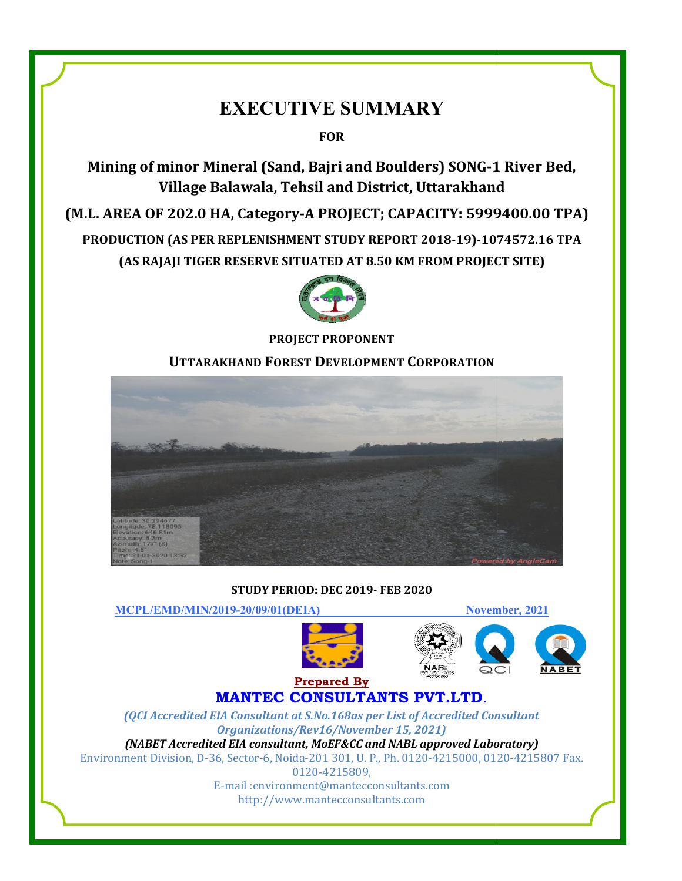# EXECUTIVE SUMMARY

FOR

Mining of minor Mineral (Sand, Bajri and Boulders) SONG-1 River Bed 1 Bed, Village Balawala, Tehsil and District, Uttarakhand

Village Balawala, Tehsil and District, Uttarakhand<br>(M.L. AREA OF 202.0 HA, Category-A PROJECT; CAPACITY: 5999400.00 TPA) PRODUCTION (AS PER REPLENISHMENT STUDY REPORT 2018 2018-19)-1074572.16 TPA UCTION (AS PER REPLENISHMENT STUDY REPORT 2018-19)-1074572.16<br>(AS RAJAJI TIGER RESERVE SITUATED AT 8.50 KM FROM PROJECT SITE)



PROJECT PROPONENT

## UTTARAKHAND FOREST DEVELOPMENT CORPORATION



### STUDY PERIOD: DEC 2019- FEB 2020

MCPL/EMD/MIN/2019-20/09/ 20/09/01(DEIA) November

November, 2021







## MANTEC CONSULTANTS PVT.LTD *.* Prepared By

(QCI Accredited EIA Consultant at S.No.168as per List of Accredited Consultant *Organizations/Rev1 Organizations/Rev16/November 15, 2021)* (NABET Accredited EIA consultant, MoEF&CC and NABL approved Laboratory) Environment Division, D-36, Sector-6, Noida-201 301, U. P., Ph. 0120-4215000, 0120-4215807 Fax. 0120-4215809,

> E-mail :environment@mantecconsultants.com http://www.mantecconsultants.com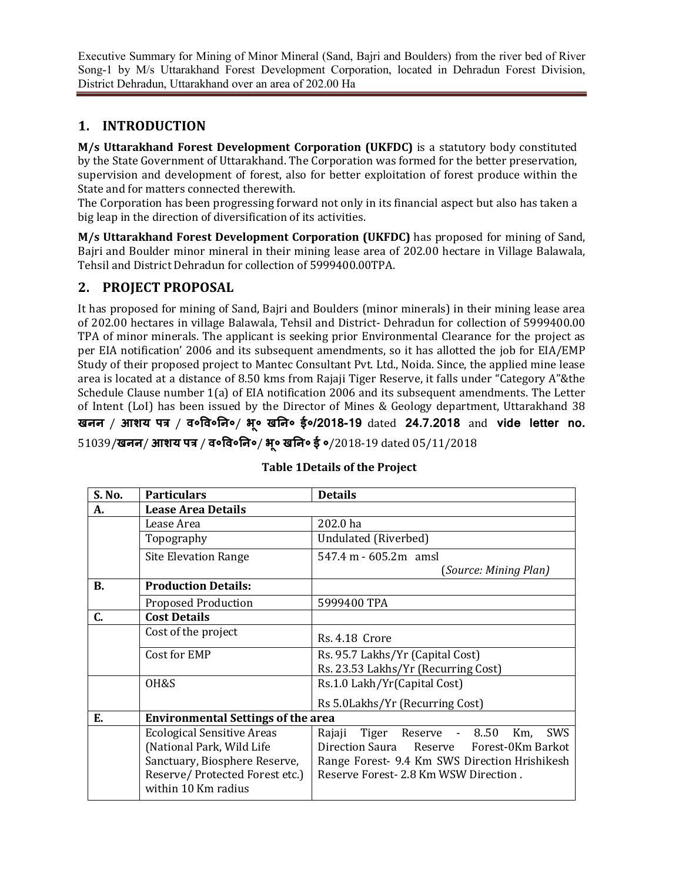# 1. INTRODUCTION

M/s Uttarakhand Forest Development Corporation (UKFDC) is a statutory body constituted by the State Government of Uttarakhand. The Corporation was formed for the better preservation, supervision and development of forest, also for better exploitation of forest produce within the State and for matters connected therewith.

The Corporation has been progressing forward not only in its financial aspect but also has taken a big leap in the direction of diversification of its activities.

M/s Uttarakhand Forest Development Corporation (UKFDC) has proposed for mining of Sand, Bajri and Boulder minor mineral in their mining lease area of 202.00 hectare in Village Balawala, Tehsil and District Dehradun for collection of 5999400.00TPA.

# 2. PROJECT PROPOSAL

It has proposed for mining of Sand, Bajri and Boulders (minor minerals) in their mining lease area of 202.00 hectares in village Balawala, Tehsil and District- Dehradun for collection of 5999400.00 TPA of minor minerals. The applicant is seeking prior Environmental Clearance for the project as per EIA notification' 2006 and its subsequent amendments, so it has allotted the job for EIA/EMP Study of their proposed project to Mantec Consultant Pvt. Ltd., Noida. Since, the applied mine lease area is located at a distance of 8.50 kms from Rajaji Tiger Reserve, it falls under "Category A"&the Schedule Clause number 1(a) of EIA notification 2006 and its subsequent amendments. The Letter of Intent (LoI) has been issued by the Director of Mines & Geology department, Uttarakhand 38 खनन / **आशय पत्र / व॰वि॰नि॰/ भू॰ खनि॰ ई॰/2018-19** dated **24.7.2018** and **vide letter no.**

51039/**खनन/ आशय पत्र / व॰वि॰नि॰/ भू॰ खनि॰ ई ॰**/2018-19 dated 05/11/2018

| S. No.    | <b>Particulars</b>                                                                                                                                       | <b>Details</b>                                                                                                                                                                        |  |  |
|-----------|----------------------------------------------------------------------------------------------------------------------------------------------------------|---------------------------------------------------------------------------------------------------------------------------------------------------------------------------------------|--|--|
| А.        | <b>Lease Area Details</b>                                                                                                                                |                                                                                                                                                                                       |  |  |
|           | Lease Area                                                                                                                                               | 202.0 ha                                                                                                                                                                              |  |  |
|           | Topography                                                                                                                                               | Undulated (Riverbed)                                                                                                                                                                  |  |  |
|           | <b>Site Elevation Range</b>                                                                                                                              | 547.4 m - 605.2m amsl                                                                                                                                                                 |  |  |
|           |                                                                                                                                                          | (Source: Mining Plan)                                                                                                                                                                 |  |  |
| <b>B.</b> | <b>Production Details:</b>                                                                                                                               |                                                                                                                                                                                       |  |  |
|           | <b>Proposed Production</b>                                                                                                                               | 5999400 TPA                                                                                                                                                                           |  |  |
| C.        | <b>Cost Details</b>                                                                                                                                      |                                                                                                                                                                                       |  |  |
|           | Cost of the project                                                                                                                                      | Rs. 4.18 Crore                                                                                                                                                                        |  |  |
|           | Cost for EMP                                                                                                                                             | Rs. 95.7 Lakhs/Yr (Capital Cost)<br>Rs. 23.53 Lakhs/Yr (Recurring Cost)                                                                                                               |  |  |
|           |                                                                                                                                                          |                                                                                                                                                                                       |  |  |
|           | OH&S                                                                                                                                                     | Rs.1.0 Lakh/Yr(Capital Cost)                                                                                                                                                          |  |  |
|           |                                                                                                                                                          | Rs 5.0Lakhs/Yr (Recurring Cost)                                                                                                                                                       |  |  |
| Е.        | <b>Environmental Settings of the area</b>                                                                                                                |                                                                                                                                                                                       |  |  |
|           | <b>Ecological Sensitive Areas</b><br>(National Park, Wild Life<br>Sanctuary, Biosphere Reserve,<br>Reserve/Protected Forest etc.)<br>within 10 Km radius | Reserve - 850<br>Tiger<br>SWS<br>Rajaji<br>Km,<br>Direction Saura Reserve Forest-0Km Barkot<br>Range Forest- 9.4 Km SWS Direction Hrishikesh<br>Reserve Forest- 2.8 Km WSW Direction. |  |  |

### Table 1Details of the Project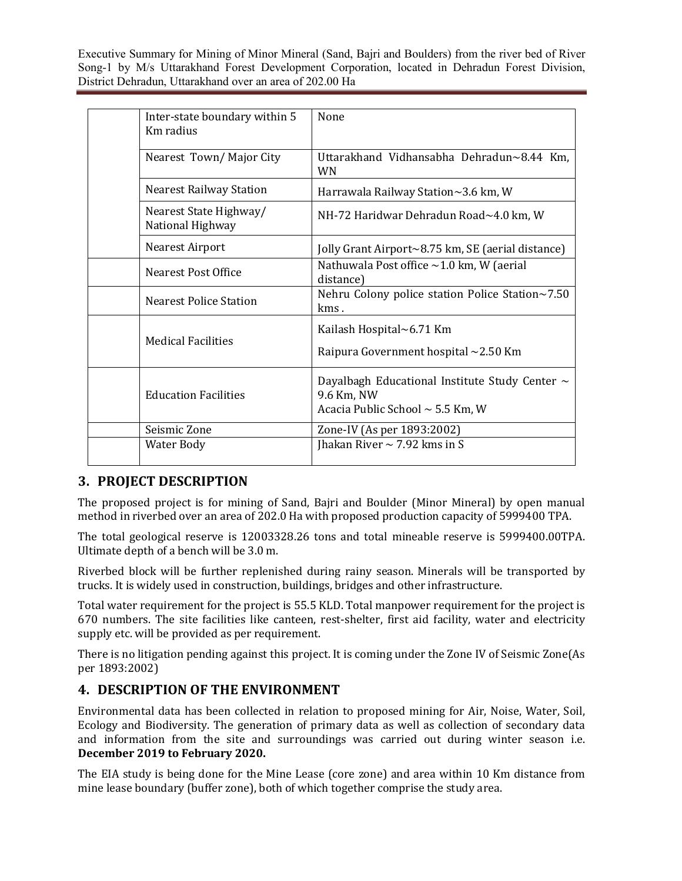| Inter-state boundary within 5<br>Km radius | None                                                                                                       |
|--------------------------------------------|------------------------------------------------------------------------------------------------------------|
| Nearest Town/Major City                    | Uttarakhand Vidhansabha Dehradun~8.44 Km,<br><b>WN</b>                                                     |
| <b>Nearest Railway Station</b>             | Harrawala Railway Station~3.6 km, W                                                                        |
| Nearest State Highway/<br>National Highway | NH-72 Haridwar Dehradun Road~4.0 km, W                                                                     |
| Nearest Airport                            | Jolly Grant Airport~8.75 km, SE (aerial distance)                                                          |
| Nearest Post Office                        | Nathuwala Post office $\sim$ 1.0 km, W (aerial<br>distance)                                                |
| <b>Nearest Police Station</b>              | Nehru Colony police station Police Station~7.50<br>kms.                                                    |
|                                            | Kailash Hospital~6.71 Km                                                                                   |
| <b>Medical Facilities</b>                  | Raipura Government hospital ~2.50 Km                                                                       |
| <b>Education Facilities</b>                | Dayalbagh Educational Institute Study Center $\sim$<br>9.6 Km, NW<br>Acacia Public School $\sim$ 5.5 Km, W |
| Seismic Zone                               | Zone-IV (As per 1893:2002)                                                                                 |
| Water Body                                 | Jhakan River $\sim$ 7.92 kms in S                                                                          |

# 3. PROJECT DESCRIPTION

The proposed project is for mining of Sand, Bajri and Boulder (Minor Mineral) by open manual method in riverbed over an area of 202.0 Ha with proposed production capacity of 5999400 TPA.

The total geological reserve is 12003328.26 tons and total mineable reserve is 5999400.00TPA. Ultimate depth of a bench will be 3.0 m.

Riverbed block will be further replenished during rainy season. Minerals will be transported by trucks. It is widely used in construction, buildings, bridges and other infrastructure.

Total water requirement for the project is 55.5 KLD. Total manpower requirement for the project is 670 numbers. The site facilities like canteen, rest-shelter, first aid facility, water and electricity supply etc. will be provided as per requirement.

There is no litigation pending against this project. It is coming under the Zone IV of Seismic Zone(As per 1893:2002)

## 4. DESCRIPTION OF THE ENVIRONMENT

Environmental data has been collected in relation to proposed mining for Air, Noise, Water, Soil, Ecology and Biodiversity. The generation of primary data as well as collection of secondary data and information from the site and surroundings was carried out during winter season i.e. December 2019 to February 2020.

The EIA study is being done for the Mine Lease (core zone) and area within 10 Km distance from mine lease boundary (buffer zone), both of which together comprise the study area.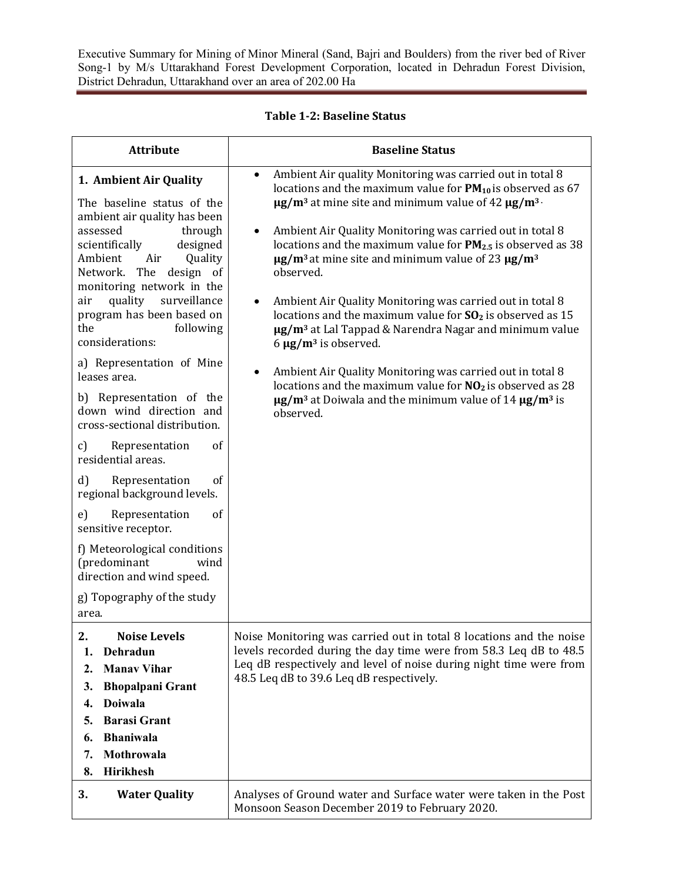| <b>Attribute</b>                                                                                                                                                                                                                                                                                                                                                                                                                                                                                                                                                                                                                                                                                                                                                                                  | <b>Baseline Status</b>                                                                                                                                                                                                                                                                                                                                                                                                                                                                                                                                                                                                                                                                                                                                                                                                                                                                                                                                                      |
|---------------------------------------------------------------------------------------------------------------------------------------------------------------------------------------------------------------------------------------------------------------------------------------------------------------------------------------------------------------------------------------------------------------------------------------------------------------------------------------------------------------------------------------------------------------------------------------------------------------------------------------------------------------------------------------------------------------------------------------------------------------------------------------------------|-----------------------------------------------------------------------------------------------------------------------------------------------------------------------------------------------------------------------------------------------------------------------------------------------------------------------------------------------------------------------------------------------------------------------------------------------------------------------------------------------------------------------------------------------------------------------------------------------------------------------------------------------------------------------------------------------------------------------------------------------------------------------------------------------------------------------------------------------------------------------------------------------------------------------------------------------------------------------------|
| 1. Ambient Air Quality<br>The baseline status of the<br>ambient air quality has been<br>assessed<br>through<br>scientifically<br>designed<br>Quality<br>Ambient<br>Air<br>The<br>design<br>Network.<br>- of<br>monitoring network in the<br>quality<br>surveillance<br>air<br>program has been based on<br>the<br>following<br>considerations:<br>a) Representation of Mine<br>leases area.<br>b) Representation of the<br>down wind direction and<br>cross-sectional distribution.<br>Representation<br>of<br>$\mathfrak{c}$<br>residential areas.<br>Representation<br>of<br>d)<br>regional background levels.<br>of<br>e)<br>Representation<br>sensitive receptor.<br>f) Meteorological conditions<br>(predominant<br>wind<br>direction and wind speed.<br>g) Topography of the study<br>area. | Ambient Air quality Monitoring was carried out in total 8<br>$\bullet$<br>locations and the maximum value for $PM_{10}$ is observed as 67<br>$\mu$ g/m <sup>3</sup> at mine site and minimum value of 42 $\mu$ g/m <sup>3</sup> .<br>Ambient Air Quality Monitoring was carried out in total 8<br>٠<br>locations and the maximum value for $PM_{2.5}$ is observed as 38<br>$\mu$ g/m <sup>3</sup> at mine site and minimum value of 23 $\mu$ g/m <sup>3</sup><br>observed.<br>Ambient Air Quality Monitoring was carried out in total 8<br>$\bullet$<br>locations and the maximum value for $SO2$ is observed as 15<br>ug/m <sup>3</sup> at Lal Tappad & Narendra Nagar and minimum value<br>6 $\mu$ g/m <sup>3</sup> is observed.<br>Ambient Air Quality Monitoring was carried out in total 8<br>٠<br>locations and the maximum value for $NO2$ is observed as 28<br>$\mu$ g/m <sup>3</sup> at Doiwala and the minimum value of 14 $\mu$ g/m <sup>3</sup> is<br>observed. |
| $\overline{2}$<br><b>Noise Levels</b><br>Dehradun<br>1.<br><b>Manav Vihar</b><br>2.<br><b>Bhopalpani Grant</b><br>3.<br><b>Doiwala</b><br>4.<br><b>Barasi Grant</b><br>5.<br><b>Bhaniwala</b><br>6.<br>Mothrowala<br>7.<br>Hirikhesh<br>8.                                                                                                                                                                                                                                                                                                                                                                                                                                                                                                                                                        | Noise Monitoring was carried out in total 8 locations and the noise<br>levels recorded during the day time were from 58.3 Leq dB to 48.5<br>Leq dB respectively and level of noise during night time were from<br>48.5 Leq dB to 39.6 Leq dB respectively.                                                                                                                                                                                                                                                                                                                                                                                                                                                                                                                                                                                                                                                                                                                  |
| 3.<br><b>Water Quality</b>                                                                                                                                                                                                                                                                                                                                                                                                                                                                                                                                                                                                                                                                                                                                                                        | Analyses of Ground water and Surface water were taken in the Post<br>Monsoon Season December 2019 to February 2020.                                                                                                                                                                                                                                                                                                                                                                                                                                                                                                                                                                                                                                                                                                                                                                                                                                                         |

Table 1-2: Baseline Status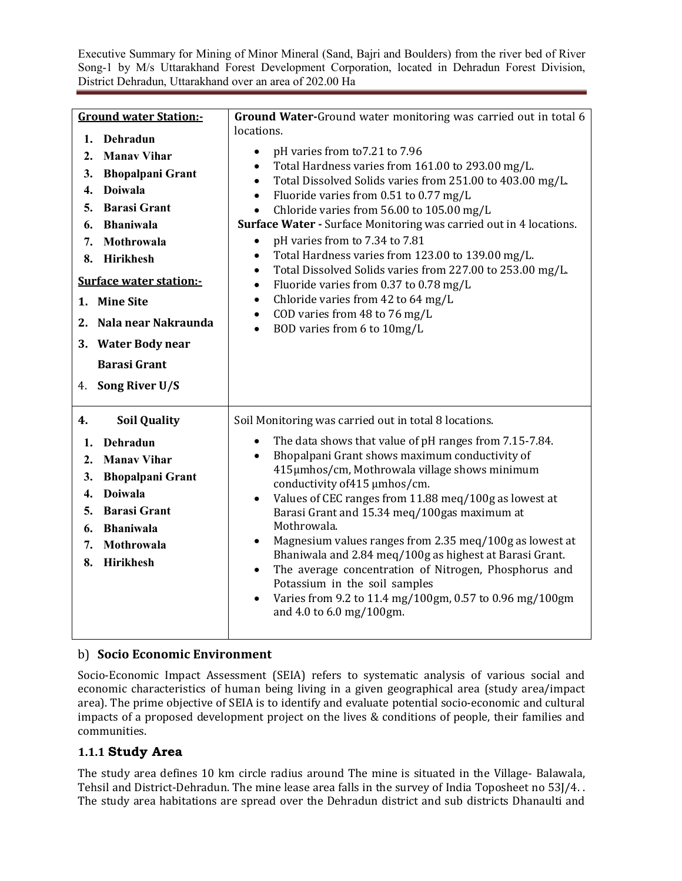| $\mathbf{1}$ .<br>2.<br>3.<br>$\overline{4}$ .<br>5.<br>6.<br>7.<br>8.<br>1. Mine Site<br>4. | <b>Ground water Station:-</b><br>Dehradun<br><b>Manav Vihar</b><br><b>Bhopalpani Grant</b><br><b>Doiwala</b><br><b>Barasi Grant</b><br><b>Bhaniwala</b><br>Mothrowala<br><b>Hirikhesh</b><br><b>Surface water station:-</b><br>2. Nala near Nakraunda<br>3. Water Body near<br><b>Barasi Grant</b><br>Song River U/S | Ground Water-Ground water monitoring was carried out in total 6<br>locations.<br>pH varies from to 7.21 to 7.96<br>$\bullet$<br>Total Hardness varies from 161.00 to 293.00 mg/L.<br>$\bullet$<br>Total Dissolved Solids varies from 251.00 to 403.00 mg/L.<br>$\bullet$<br>Fluoride varies from 0.51 to 0.77 mg/L<br>$\bullet$<br>Chloride varies from 56.00 to 105.00 mg/L<br>$\bullet$<br><b>Surface Water - Surface Monitoring was carried out in 4 locations.</b><br>pH varies from to 7.34 to 7.81<br>$\bullet$<br>Total Hardness varies from 123.00 to 139.00 mg/L.<br>$\bullet$<br>Total Dissolved Solids varies from 227.00 to 253.00 mg/L.<br>$\bullet$<br>Fluoride varies from 0.37 to 0.78 mg/L<br>$\bullet$<br>Chloride varies from 42 to 64 mg/L<br>$\bullet$<br>COD varies from 48 to 76 mg/L<br>$\bullet$<br>BOD varies from 6 to 10mg/L |
|----------------------------------------------------------------------------------------------|----------------------------------------------------------------------------------------------------------------------------------------------------------------------------------------------------------------------------------------------------------------------------------------------------------------------|----------------------------------------------------------------------------------------------------------------------------------------------------------------------------------------------------------------------------------------------------------------------------------------------------------------------------------------------------------------------------------------------------------------------------------------------------------------------------------------------------------------------------------------------------------------------------------------------------------------------------------------------------------------------------------------------------------------------------------------------------------------------------------------------------------------------------------------------------------|
| 4.<br>1.<br>2.<br>3.<br>$\overline{4}$ .<br>5.<br>6.<br>7.<br>8.                             | <b>Soil Quality</b><br>Dehradun<br><b>Manay Vihar</b><br><b>Bhopalpani Grant</b><br><b>Doiwala</b><br><b>Barasi Grant</b><br><b>Bhaniwala</b><br>Mothrowala<br>Hirikhesh                                                                                                                                             | Soil Monitoring was carried out in total 8 locations.<br>The data shows that value of pH ranges from 7.15-7.84.<br>$\bullet$<br>Bhopalpani Grant shows maximum conductivity of<br>$\bullet$<br>415µmhos/cm, Mothrowala village shows minimum<br>conductivity of 415 µmhos/cm.<br>Values of CEC ranges from 11.88 meq/100g as lowest at<br>$\bullet$<br>Barasi Grant and 15.34 meg/100gas maximum at<br>Mothrowala.<br>Magnesium values ranges from 2.35 meq/100g as lowest at<br>$\bullet$<br>Bhaniwala and 2.84 meq/100g as highest at Barasi Grant.<br>The average concentration of Nitrogen, Phosphorus and<br>$\bullet$<br>Potassium in the soil samples<br>Varies from 9.2 to 11.4 mg/100gm, 0.57 to 0.96 mg/100gm<br>$\bullet$<br>and 4.0 to 6.0 mg/100gm.                                                                                         |

## b) Socio Economic Environment

Socio-Economic Impact Assessment (SEIA) refers to systematic analysis of various social and economic characteristics of human being living in a given geographical area (study area/impact area). The prime objective of SEIA is to identify and evaluate potential socio-economic and cultural impacts of a proposed development project on the lives & conditions of people, their families and communities.

## 1.1.1 Study Area

The study area defines 10 km circle radius around The mine is situated in the Village- Balawala, Tehsil and District-Dehradun. The mine lease area falls in the survey of India Toposheet no 53J/4. . The study area habitations are spread over the Dehradun district and sub districts Dhanaulti and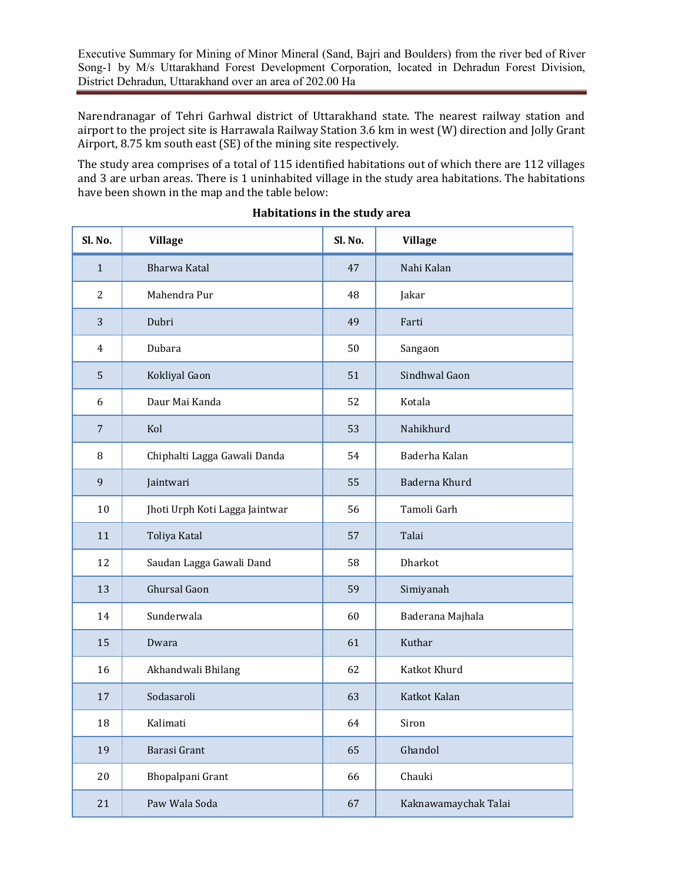Narendranagar of Tehri Garhwal district of Uttarakhand state. The nearest railway station and airport to the project site is Harrawala Railway Station 3.6 km in west (W) direction and Jolly Grant Airport,  $8.75 \text{ km}$  south east (SE) of the mining site respectively.

The study area comprises of a total of 115 identified habitations out of which there are 112 villages and 3 are urban areas. There is 1 uninhabited village in the study area habitations. The habitations have been shown in the map and the table below:

| Sl. No.        | <b>Village</b>                 | Sl. No. | <b>Village</b>       |
|----------------|--------------------------------|---------|----------------------|
| $\mathbf{1}$   | <b>Bharwa Katal</b>            | 47      | Nahi Kalan           |
| 2              | Mahendra Pur                   | 48      | Jakar                |
| 3              | Dubri                          | 49      | Farti                |
| $\overline{4}$ | Dubara                         | 50      | Sangaon              |
| 5              | Kokliyal Gaon                  | 51      | Sindhwal Gaon        |
| 6              | Daur Mai Kanda                 | 52      | Kotala               |
| $\overline{7}$ | Kol                            | 53      | Nahikhurd            |
| 8              | Chiphalti Lagga Gawali Danda   | 54      | Baderha Kalan        |
| 9              | Jaintwari                      | 55      | Baderna Khurd        |
| 10             | Jhoti Urph Koti Lagga Jaintwar | 56      | Tamoli Garh          |
| 11             | Toliya Katal                   | 57      | Talai                |
| 12             | Saudan Lagga Gawali Dand       | 58      | Dharkot              |
| 13             | Ghursal Gaon                   | 59      | Simiyanah            |
| 14             | Sunderwala                     | 60      | Baderana Majhala     |
| 15             | Dwara                          | 61      | Kuthar               |
| 16             | Akhandwali Bhilang             | 62      | Katkot Khurd         |
| 17             | Sodasaroli                     | 63      | Katkot Kalan         |
| 18             | Kalimati                       | 64      | Siron                |
| 19             | Barasi Grant                   | 65      | Ghandol              |
| $20\,$         | Bhopalpani Grant               | 66      | Chauki               |
| 21             | Paw Wala Soda                  | 67      | Kaknawamaychak Talai |

#### Habitations in the study area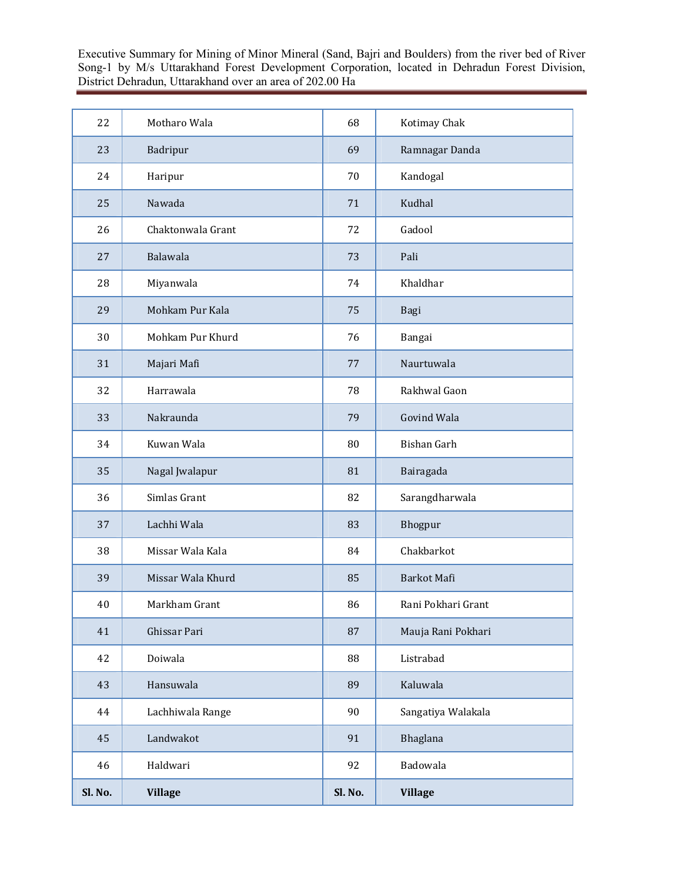| 22      | Motharo Wala      | 68      | Kotimay Chak       |
|---------|-------------------|---------|--------------------|
| 23      | Badripur          | 69      | Ramnagar Danda     |
| 24      | Haripur           | 70      | Kandogal           |
| 25      | Nawada            | 71      | Kudhal             |
| 26      | Chaktonwala Grant | 72      | Gadool             |
| 27      | Balawala          | 73      | Pali               |
| 28      | Miyanwala         | 74      | Khaldhar           |
| 29      | Mohkam Pur Kala   | 75      | Bagi               |
| 30      | Mohkam Pur Khurd  | 76      | Bangai             |
| 31      | Majari Mafi       | 77      | Naurtuwala         |
| 32      | Harrawala         | 78      | Rakhwal Gaon       |
| 33      | Nakraunda         | 79      | Govind Wala        |
| 34      | Kuwan Wala        | 80      | Bishan Garh        |
| 35      | Nagal Jwalapur    | 81      | Bairagada          |
| 36      | Simlas Grant      | 82      | Sarangdharwala     |
| 37      | Lachhi Wala       | 83      | Bhogpur            |
| 38      | Missar Wala Kala  | 84      | Chakbarkot         |
| 39      | Missar Wala Khurd | 85      | Barkot Mafi        |
| $40\,$  | Markham Grant     | 86      | Rani Pokhari Grant |
| 41      | Ghissar Pari      | 87      | Mauja Rani Pokhari |
| 42      | Doiwala           | 88      | Listrabad          |
| 43      | Hansuwala         | 89      | Kaluwala           |
| 44      | Lachhiwala Range  | 90      | Sangatiya Walakala |
| 45      | Landwakot         | 91      | Bhaglana           |
| 46      | Haldwari          | 92      | Badowala           |
| Sl. No. | <b>Village</b>    | Sl. No. | <b>Village</b>     |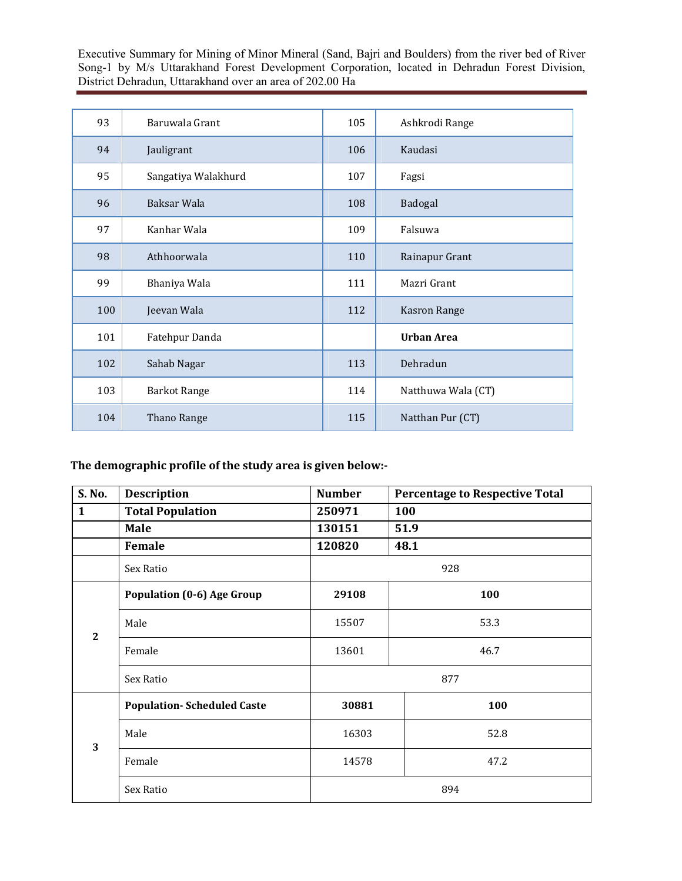| 93  | Baruwala Grant      | 105 | Ashkrodi Range     |
|-----|---------------------|-----|--------------------|
| 94  | Jauligrant          | 106 | Kaudasi            |
| 95  | Sangatiya Walakhurd | 107 | Fagsi              |
| 96  | Baksar Wala         | 108 | Badogal            |
| 97  | Kanhar Wala         | 109 | Falsuwa            |
| 98  | Athhoorwala         | 110 | Rainapur Grant     |
| 99  | Bhaniya Wala        | 111 | Mazri Grant        |
| 100 | Jeevan Wala         | 112 | Kasron Range       |
| 101 | Fatehpur Danda      |     | <b>Urban Area</b>  |
| 102 | Sahab Nagar         | 113 | Dehradun           |
| 103 | <b>Barkot Range</b> | 114 | Natthuwa Wala (CT) |
| 104 | Thano Range         | 115 | Natthan Pur (CT)   |

The demographic profile of the study area is given below:-

| S. No.         | <b>Description</b>                | <b>Number</b> | <b>Percentage to Respective Total</b> |  |  |
|----------------|-----------------------------------|---------------|---------------------------------------|--|--|
| $\mathbf{1}$   | <b>Total Population</b>           | 250971        | 100                                   |  |  |
|                | <b>Male</b>                       | 130151        | 51.9                                  |  |  |
|                | Female                            | 120820        | 48.1                                  |  |  |
|                | Sex Ratio                         |               | 928                                   |  |  |
|                | <b>Population (0-6) Age Group</b> | 29108         | 100                                   |  |  |
| $\overline{2}$ | Male                              | 15507         | 53.3                                  |  |  |
|                | Female                            | 13601         | 46.7                                  |  |  |
|                | Sex Ratio                         |               | 877                                   |  |  |
| 3              | <b>Population-Scheduled Caste</b> | 30881         | 100                                   |  |  |
|                | Male                              | 16303         | 52.8                                  |  |  |
|                | Female                            | 14578         | 47.2                                  |  |  |
|                | Sex Ratio                         |               | 894                                   |  |  |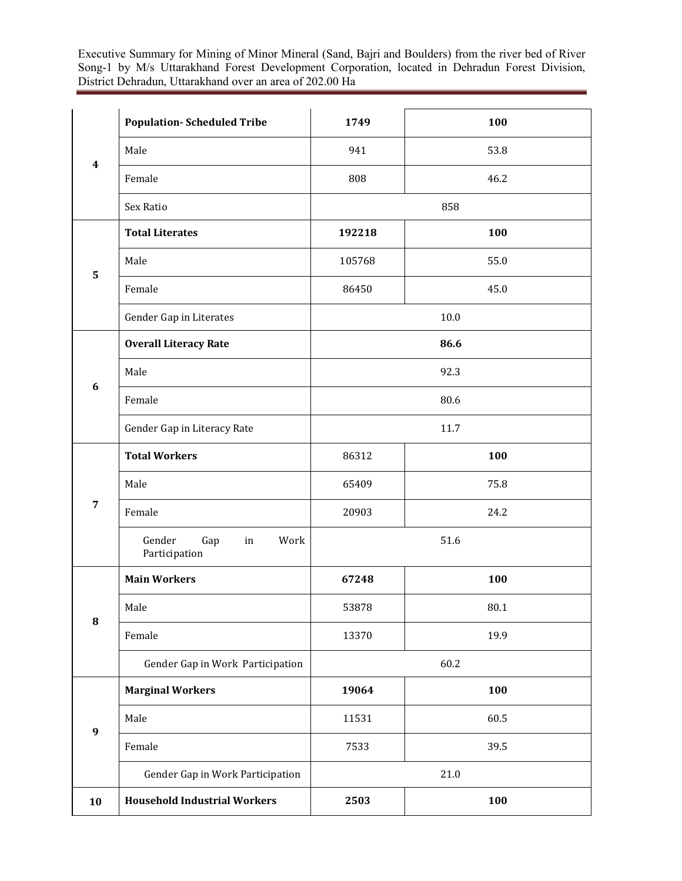| $\overline{\mathbf{4}}$ | <b>Population-Scheduled Tribe</b>            | 1749   | 100  |  |
|-------------------------|----------------------------------------------|--------|------|--|
|                         | Male                                         | 941    | 53.8 |  |
|                         | Female                                       | 808    | 46.2 |  |
|                         | Sex Ratio                                    | 858    |      |  |
|                         | <b>Total Literates</b>                       | 192218 | 100  |  |
| 5                       | Male                                         | 105768 | 55.0 |  |
|                         | Female                                       | 86450  | 45.0 |  |
|                         | Gender Gap in Literates                      | 10.0   |      |  |
|                         | <b>Overall Literacy Rate</b>                 | 86.6   |      |  |
| $6\phantom{1}6$         | Male                                         | 92.3   |      |  |
|                         | Female                                       | 80.6   |      |  |
|                         | Gender Gap in Literacy Rate                  | 11.7   |      |  |
|                         | <b>Total Workers</b>                         | 86312  | 100  |  |
|                         | Male                                         | 65409  | 75.8 |  |
| $\overline{7}$          | Female                                       | 20903  | 24.2 |  |
|                         | Gender<br>Work<br>Gap<br>in<br>Participation | 51.6   |      |  |
|                         | <b>Main Workers</b>                          | 67248  | 100  |  |
| ${\bf 8}$               | Male                                         | 53878  | 80.1 |  |
|                         | Female                                       | 13370  | 19.9 |  |
|                         | Gender Gap in Work Participation             | 60.2   |      |  |
|                         | <b>Marginal Workers</b>                      | 19064  | 100  |  |
| $\boldsymbol{9}$        | Male                                         | 11531  | 60.5 |  |
|                         | Female                                       | 7533   | 39.5 |  |
|                         | Gender Gap in Work Participation             | 21.0   |      |  |
| 10                      | <b>Household Industrial Workers</b>          | 2503   | 100  |  |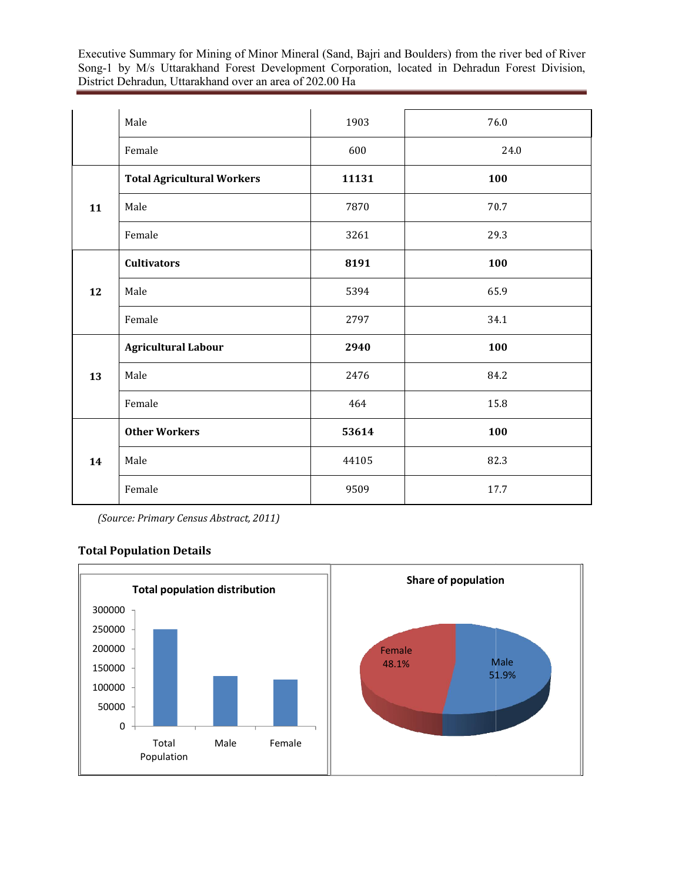|    | Male                              | 1903  | 76.0 |
|----|-----------------------------------|-------|------|
|    | Female                            | 600   | 24.0 |
|    | <b>Total Agricultural Workers</b> | 11131 | 100  |
| 11 | Male                              | 7870  | 70.7 |
|    | Female                            | 3261  | 29.3 |
| 12 | <b>Cultivators</b>                | 8191  | 100  |
|    | Male                              | 5394  | 65.9 |
|    | Female                            | 2797  | 34.1 |
| 13 | <b>Agricultural Labour</b>        | 2940  | 100  |
|    | Male                              | 2476  | 84.2 |
|    | Female                            | 464   | 15.8 |
| 14 | <b>Other Workers</b>              | 53614 | 100  |
|    | Male                              | 44105 | 82.3 |
|    | Female                            | 9509  | 17.7 |

*(Source: Primary Census Abstract, 2011)*

### Total Population Details

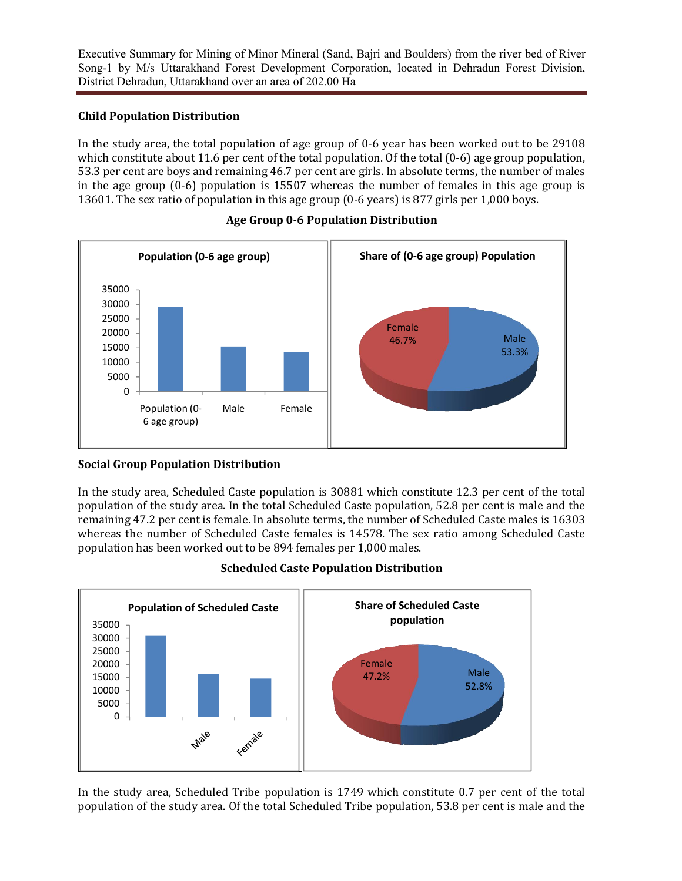## Child Population Distribution

In the study area, the total population of age group of 0-6 year has been worked out to be 29108 which constitute about 11.6 per cent of the total population. Of the total  $(0-6)$  age group population, 53.3 per cent are boys and remaining 46.7 per cent are girls. In absolute terms, the number of males in the age group  $(0-6)$  population is 15507 whereas the number of females in this age group is in the age group (0-6) population is 15507 whereas the number of females in this age 13601. The sex ratio of population in this age group (0-6 years) is 877 girls per 1,000 boys. 6 year has been worked out to be 29108 on. Of the total (0-6) age group population, is. In absolute terms, the number of males  $e_1$  number of females in this age group is



## Age Group 0 0-6 Population Distribution

## Social Group Population Distribution

In the study area, Scheduled Caste population is 30881 which constitute 12.3 per cent of the total population of the study area. In the total Scheduled Caste population, 52.8 per cent is male and the remaining 47.2 per cent is female. In absolute terms, the number of Scheduled Caste males is 16303 whereas the number of Scheduled Caste females is 14578. The sex ratio among Scheduled Caste population has been worked out to be 894 females per 1,000 males. Female<br>
Unitation<br>
Unitation<br>
Unitation<br>
Caste<br>
Caste



### Scheduled Caste Population Distribution

In the study area, Scheduled Tribe population is  $1749$  which constitute 0.7 per cent of the total population of the study area. Of the total Scheduled Tribe population, 53.8 per cent is male and the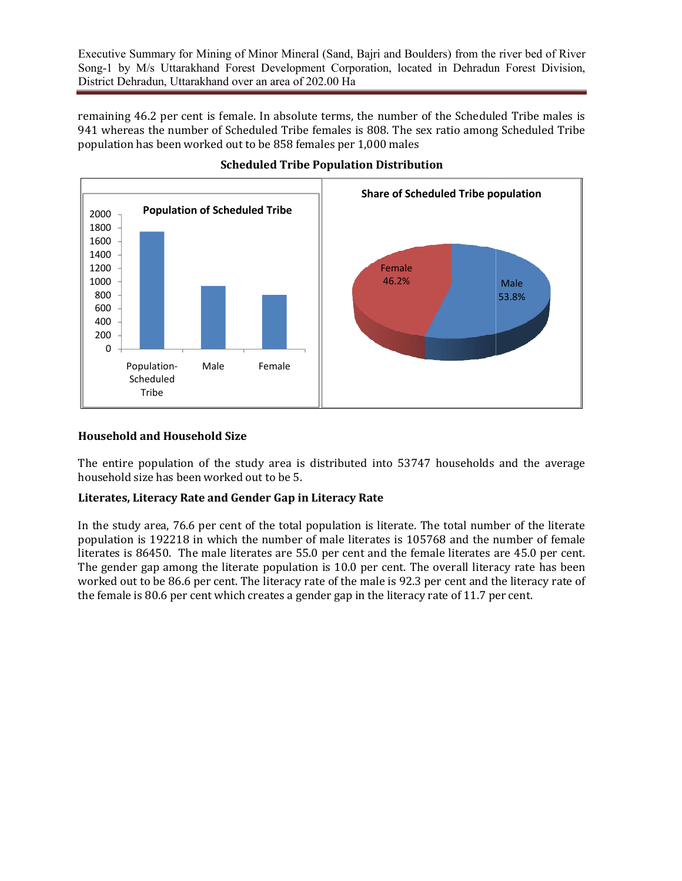remaining 46.2 per cent is female. In absolute terms, the number of the Scheduled Tribe males is 941 whereas the number of Scheduled Tribe females is 808. The sex ratio among Scheduled Tribe population has been worked out to be 858 females per 1,000 males



#### Scheduled Tribe Population Distribution

#### Household and Household Size

The entire population of the study area is distributed into 53747 households and the average household size has been worked out to be 5.

#### Literates, Literacy Rate and Gender Gap in Literacy Rate Rate

In the study area, 76.6 per cent of the total population is literate. The total number of the literate population is 192218 in which the number of male literates is 105768 and the number of female literates is 86450. The male literates are 55.0 per cent and the female literates are 45.0 per cent. The gender gap among the literate population is  $10.0$  per cent. The overall literacy rate has been worked out to be 86.6 per cent. The literacy rate of the male is 92.3 per cent and the literacy rate of the female is 80.6 per cent which creates a gender gap in the literacy rate of 11.7 per cent.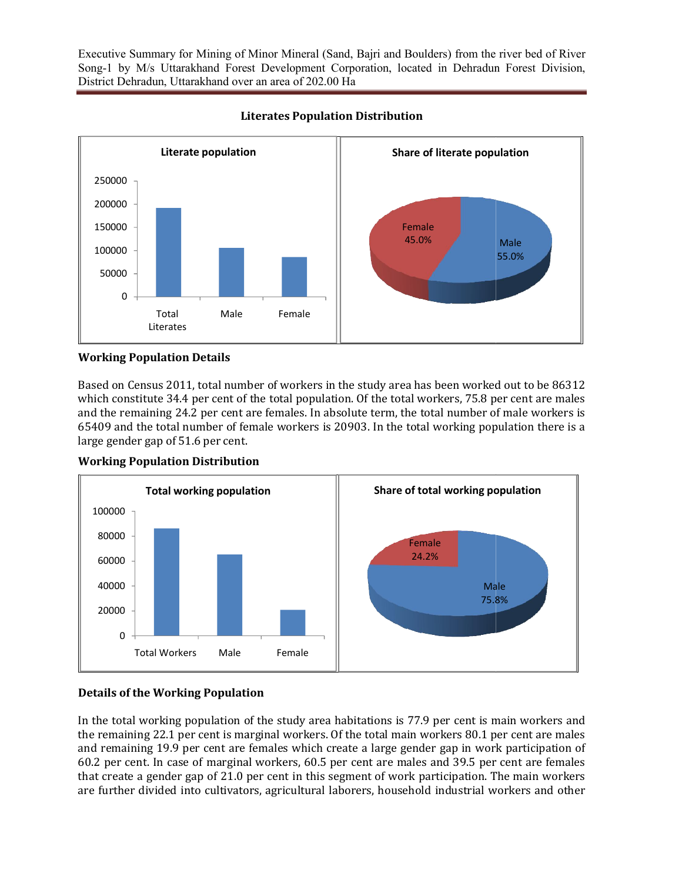

Literates Population Distribution Literates

### Working Population Details

Based on Census 2011, total number of workers in the study area has been worked out to be 86312 which constitute  $34.4$  per cent of the total population. Of the total workers,  $75.8$  per cent are males and the remaining 24.2 per cent are females. In absolute term, the total number of male workers is 65409 and the total number of female workers is 20903. In the total working population there is a large gender gap of 51.6 per cent.



#### Working Population Distribution

#### Details of the Working Population

In the total working population of the study area habitations is 77.9 per cent is main workers and the remaining 22.1 per cent is marginal workers. Of the total main workers 80.1 per cent are males and remaining 19.9 per cent are females which create a large gender gap in work participation of 60.2 per cent. In case of marginal workers, 60.5 per cent are males and 39.5 per cent are females that create a gender gap of 21.0 per cent in this segment of work participation. The main workers are further divided into cultivators, agricultural laborers, household industrial workers and other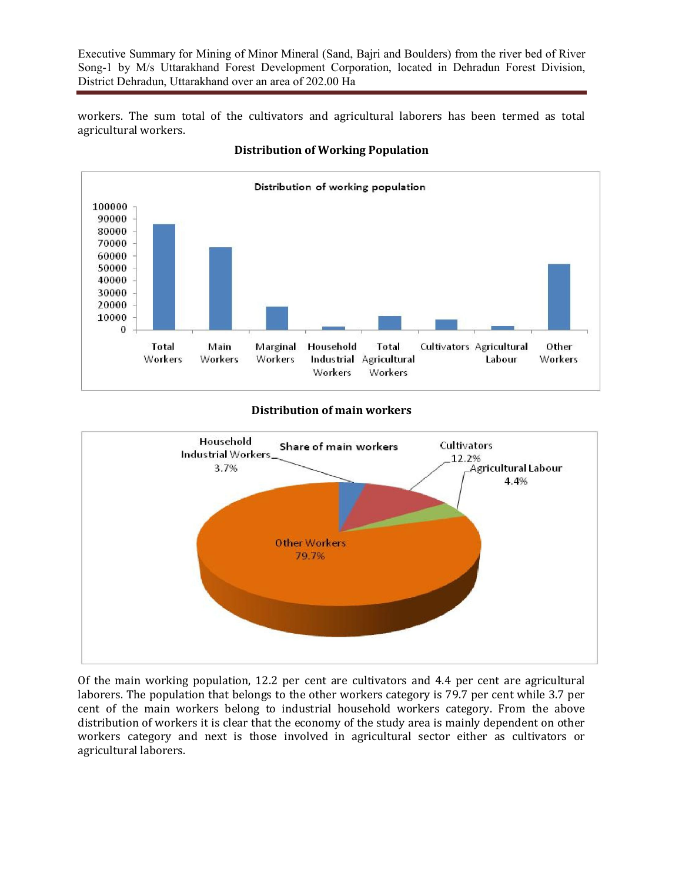workers. The sum total of the cultivators and agricultural laborers has been termed as total agricultural workers.



## Distribution of Working Population

#### Distribution of main workers



Of the main working population,  $12.2$  per cent are cultivators and  $4.4$  per cent are agricultural laborers. The population that belongs to the other workers category is 79.7 per cent while 3.7 per cent of the main workers belong to industrial household workers category. From the above distribution of workers it is clear that the economy of the study area is mainly dependent on other workers category and next is those involved in agricultural sector either as cultivators or agricultural laborers.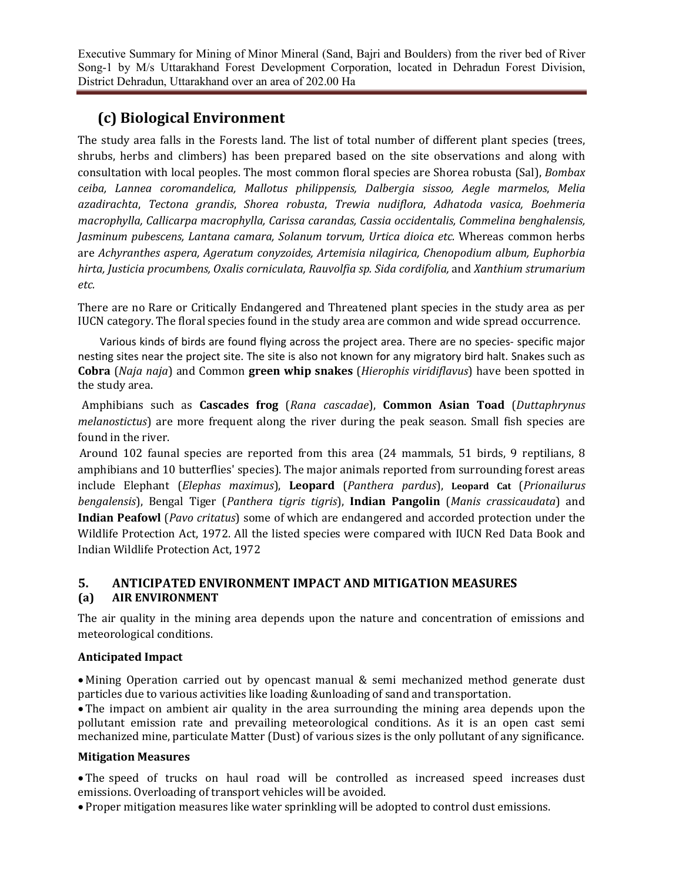# (c) Biological Environment

The study area falls in the Forests land. The list of total number of different plant species (trees, shrubs, herbs and climbers) has been prepared based on the site observations and along with consultation with local peoples. The most common floral species are Shorea robusta (Sal), *Bombax ceiba, Lannea coromandelica, Mallotus philippensis, Dalbergia sissoo, Aegle marmelos*, *Melia azadirachta*, *Tectona grandis*, *Shorea robusta*, *Trewia nudiflora*, *Adhatoda vasica, Boehmeria macrophylla, Callicarpa macrophylla, Carissa carandas, Cassia occidentalis, Commelina benghalensis, Jasminum pubescens, Lantana camara, Solanum torvum, Urtica dioica etc.* Whereas common herbs are *Achyranthes aspera, Ageratum conyzoides, Artemisia nilagirica, Chenopodium album, Euphorbia hirta, Justicia procumbens, Oxalis corniculata, Rauvolfia sp. Sida cordifolia,* and *Xanthium strumarium etc.*

There are no Rare or Critically Endangered and Threatened plant species in the study area as per IUCN category. The floral species found in the study area are common and wide spread occurrence.

 Various kinds of birds are found flying across the project area. There are no species- specific major nesting sites near the project site. The site is also not known for any migratory bird halt. Snakes such as **Cobra** (*Naja naja*) and Common **green whip snakes** (*Hierophis viridiflavus*) have been spotted in the study area.

 Amphibians such as Cascades frog (*Rana cascadae*), Common Asian Toad (*Duttaphrynus melanostictus*) are more frequent along the river during the peak season. Small fish species are found in the river.

Around 102 faunal species are reported from this area (24 mammals, 51 birds, 9 reptilians, 8 amphibians and 10 butterflies' species). The major animals reported from surrounding forest areas include Elephant (*Elephas maximus*), Leopard (*Panthera pardus*), Leopard Cat (*Prionailurus bengalensis*), Bengal Tiger (*Panthera tigris tigris*), **Indian Pangolin** (*Manis crassicaudata*) and **Indian Peafowl** (*Pavo critatus*) some of which are endangered and accorded protection under the Wildlife Protection Act, 1972. All the listed species were compared with IUCN Red Data Book and Indian Wildlife Protection Act, 1972

## 5. ANTICIPATED ENVIRONMENT IMPACT AND MITIGATION MEASURES (a) AIR ENVIRONMENT

The air quality in the mining area depends upon the nature and concentration of emissions and meteorological conditions.

### Anticipated Impact

• Mining Operation carried out by opencast manual & semi mechanized method generate dust particles due to various activities like loading &unloading of sand and transportation.

• The impact on ambient air quality in the area surrounding the mining area depends upon the pollutant emission rate and prevailing meteorological conditions. As it is an open cast semi mechanized mine, particulate Matter (Dust) of various sizes is the only pollutant of any significance.

#### Mitigation Measures

• The speed of trucks on haul road will be controlled as increased speed increases dust emissions. Overloading of transport vehicles will be avoided.

• Proper mitigation measures like water sprinkling will be adopted to control dust emissions.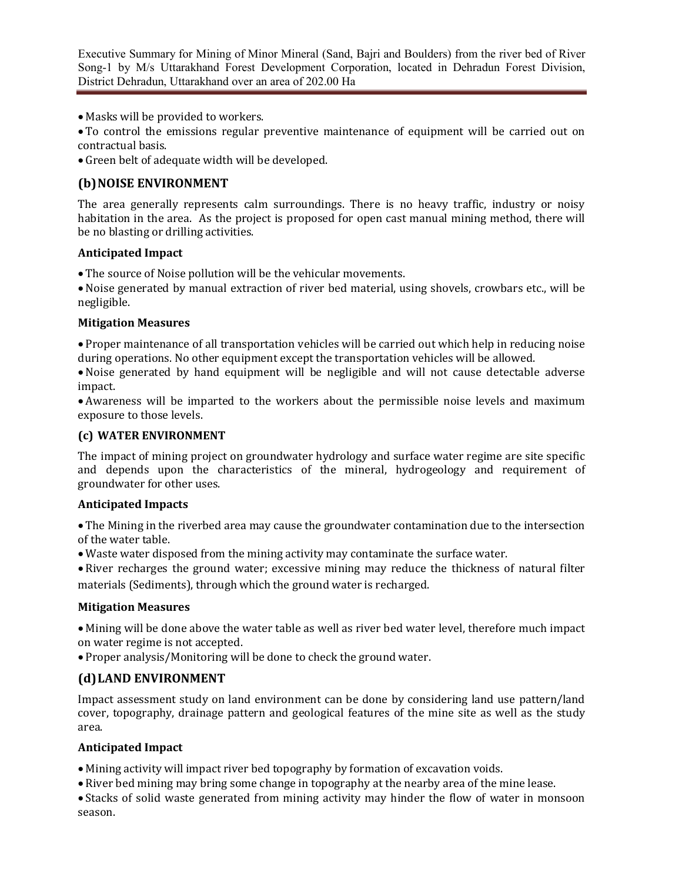- Masks will be provided to workers.
- To control the emissions regular preventive maintenance of equipment will be carried out on contractual basis.
- Green belt of adequate width will be developed.

## (b) NOISE ENVIRONMENT

The area generally represents calm surroundings. There is no heavy traffic, industry or noisy habitation in the area. As the project is proposed for open cast manual mining method, there will be no blasting or drilling activities.

#### Anticipated Impact

• The source of Noise pollution will be the vehicular movements.

• Noise generated by manual extraction of river bed material, using shovels, crowbars etc., will be negligible.

#### Mitigation Measures

• Proper maintenance of all transportation vehicles will be carried out which help in reducing noise during operations. No other equipment except the transportation vehicles will be allowed.

• Noise generated by hand equipment will be negligible and will not cause detectable adverse impact.

• Awareness will be imparted to the workers about the permissible noise levels and maximum exposure to those levels.

#### (c) WATER ENVIRONMENT

The impact of mining project on groundwater hydrology and surface water regime are site specific and depends upon the characteristics of the mineral, hydrogeology and requirement of groundwater for other uses.

#### Anticipated Impacts

• The Mining in the riverbed area may cause the groundwater contamination due to the intersection of the water table.

• Waste water disposed from the mining activity may contaminate the surface water.

• River recharges the ground water; excessive mining may reduce the thickness of natural filter materials (Sediments), through which the ground water is recharged.

### Mitigation Measures

• Mining will be done above the water table as well as river bed water level, therefore much impact on water regime is not accepted.

• Proper analysis/Monitoring will be done to check the ground water.

## (d)LAND ENVIRONMENT

Impact assessment study on land environment can be done by considering land use pattern/land cover, topography, drainage pattern and geological features of the mine site as well as the study area. 

### Anticipated Impact

• Mining activity will impact river bed topography by formation of excavation voids.

• River bed mining may bring some change in topography at the nearby area of the mine lease.

• Stacks of solid waste generated from mining activity may hinder the flow of water in monsoon season.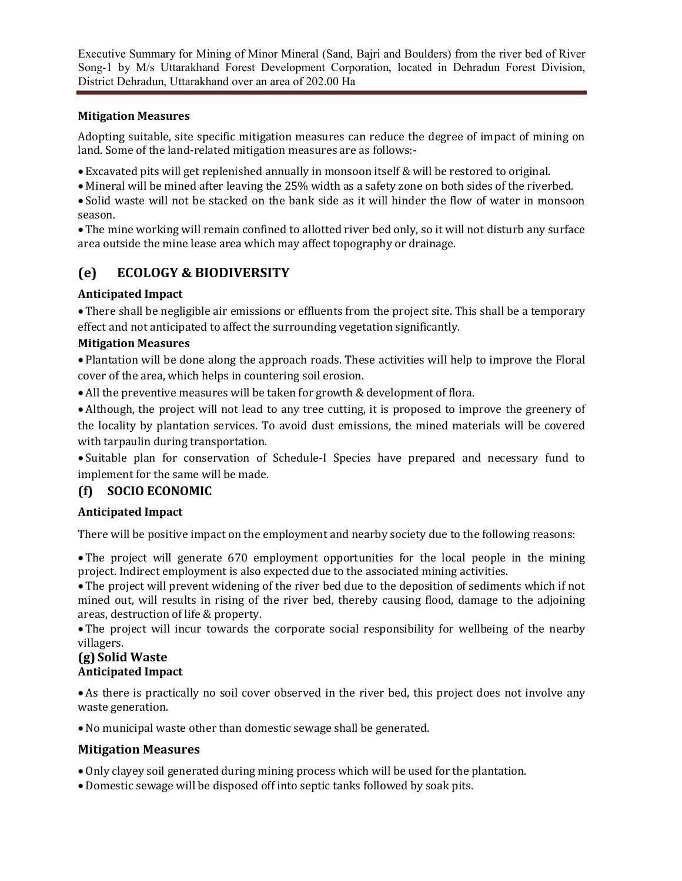## Mitigation Measures

Adopting suitable, site specific mitigation measures can reduce the degree of impact of mining on land. Some of the land-related mitigation measures are as follows:-

- Excavated pits will get replenished annually in monsoon itself & will be restored to original.
- Mineral will be mined after leaving the 25% width as a safety zone on both sides of the riverbed.
- Solid waste will not be stacked on the bank side as it will hinder the flow of water in monsoon season.

• The mine working will remain confined to allotted river bed only, so it will not disturb any surface area outside the mine lease area which may affect topography or drainage.

# (e) ECOLOGY & BIODIVERSITY

## Anticipated Impact

• There shall be negligible air emissions or effluents from the project site. This shall be a temporary effect and not anticipated to affect the surrounding vegetation significantly.

## Mitigation Measures

• Plantation will be done along the approach roads. These activities will help to improve the Floral cover of the area, which helps in countering soil erosion.

• All the preventive measures will be taken for growth & development of flora.

• Although, the project will not lead to any tree cutting, it is proposed to improve the greenery of the locality by plantation services. To avoid dust emissions, the mined materials will be covered with tarpaulin during transportation.

• Suitable plan for conservation of Schedule-I Species have prepared and necessary fund to implement for the same will be made.

# (f) SOCIO ECONOMIC

## Anticipated Impact

There will be positive impact on the employment and nearby society due to the following reasons:

• The project will generate 670 employment opportunities for the local people in the mining project. Indirect employment is also expected due to the associated mining activities.

• The project will prevent widening of the river bed due to the deposition of sediments which if not mined out, will results in rising of the river bed, thereby causing flood, damage to the adjoining areas, destruction of life & property.

• The project will incur towards the corporate social responsibility for wellbeing of the nearby villagers.

#### (g) Solid Waste Anticipated Impact

• As there is practically no soil cover observed in the river bed, this project does not involve any waste generation.

• No municipal waste other than domestic sewage shall be generated.

## Mitigation Measures

• Only clayey soil generated during mining process which will be used for the plantation.

• Domestic sewage will be disposed off into septic tanks followed by soak pits.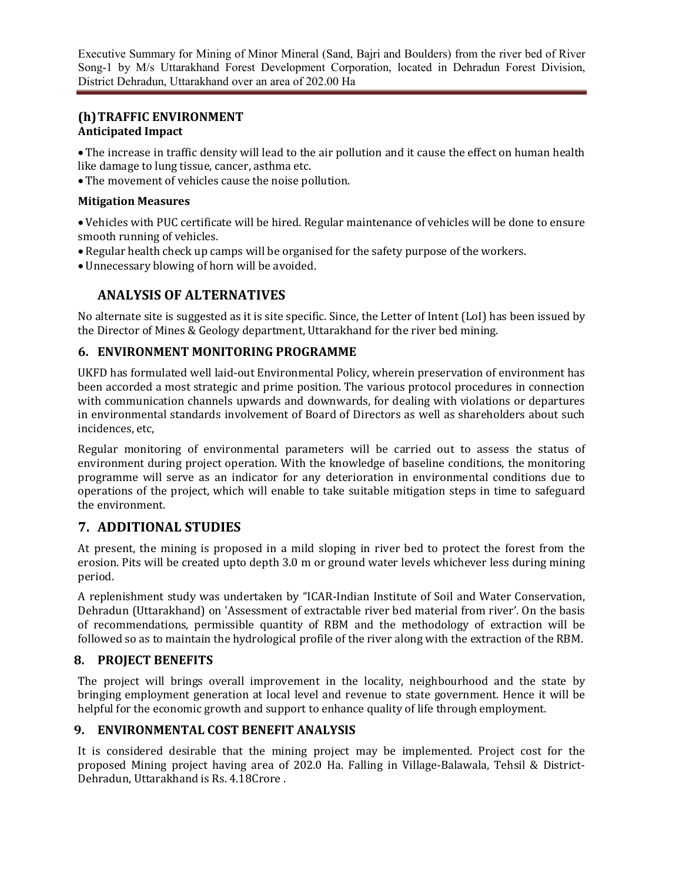## (h)TRAFFIC ENVIRONMENT Anticipated Impact

• The increase in traffic density will lead to the air pollution and it cause the effect on human health like damage to lung tissue, cancer, asthma etc.

• The movement of vehicles cause the noise pollution.

### Mitigation Measures

• Vehicles with PUC certificate will be hired. Regular maintenance of vehicles will be done to ensure smooth running of vehicles.

- Regular health check up camps will be organised for the safety purpose of the workers.
- Unnecessary blowing of horn will be avoided.

# ANALYSIS OF ALTERNATIVES

No alternate site is suggested as it is site specific. Since, the Letter of Intent (LoI) has been issued by the Director of Mines & Geology department, Uttarakhand for the river bed mining.

## 6. ENVIRONMENT MONITORING PROGRAMME

UKFD has formulated well laid-out Environmental Policy, wherein preservation of environment has been accorded a most strategic and prime position. The various protocol procedures in connection with communication channels upwards and downwards, for dealing with violations or departures in environmental standards involvement of Board of Directors as well as shareholders about such incidences, etc.

Regular monitoring of environmental parameters will be carried out to assess the status of environment during project operation. With the knowledge of baseline conditions, the monitoring programme will serve as an indicator for any deterioration in environmental conditions due to operations of the project, which will enable to take suitable mitigation steps in time to safeguard the environment.

# 7. ADDITIONAL STUDIES

At present, the mining is proposed in a mild sloping in river bed to protect the forest from the erosion. Pits will be created upto depth 3.0 m or ground water levels whichever less during mining period.

A replenishment study was undertaken by "ICAR-Indian Institute of Soil and Water Conservation, Dehradun (Uttarakhand) on 'Assessment of extractable river bed material from river'. On the basis of recommendations, permissible quantity of RBM and the methodology of extraction will be followed so as to maintain the hydrological profile of the river along with the extraction of the RBM.

# 8. PROJECT BENEFITS

The project will brings overall improvement in the locality, neighbourhood and the state by bringing employment generation at local level and revenue to state government. Hence it will be helpful for the economic growth and support to enhance quality of life through employment.

## 9. ENVIRONMENTAL COST BENEFIT ANALYSIS

It is considered desirable that the mining project may be implemented. Project cost for the proposed Mining project having area of 202.0 Ha. Falling in Village-Balawala, Tehsil & District-Dehradun, Uttarakhand is Rs. 4.18Crore.